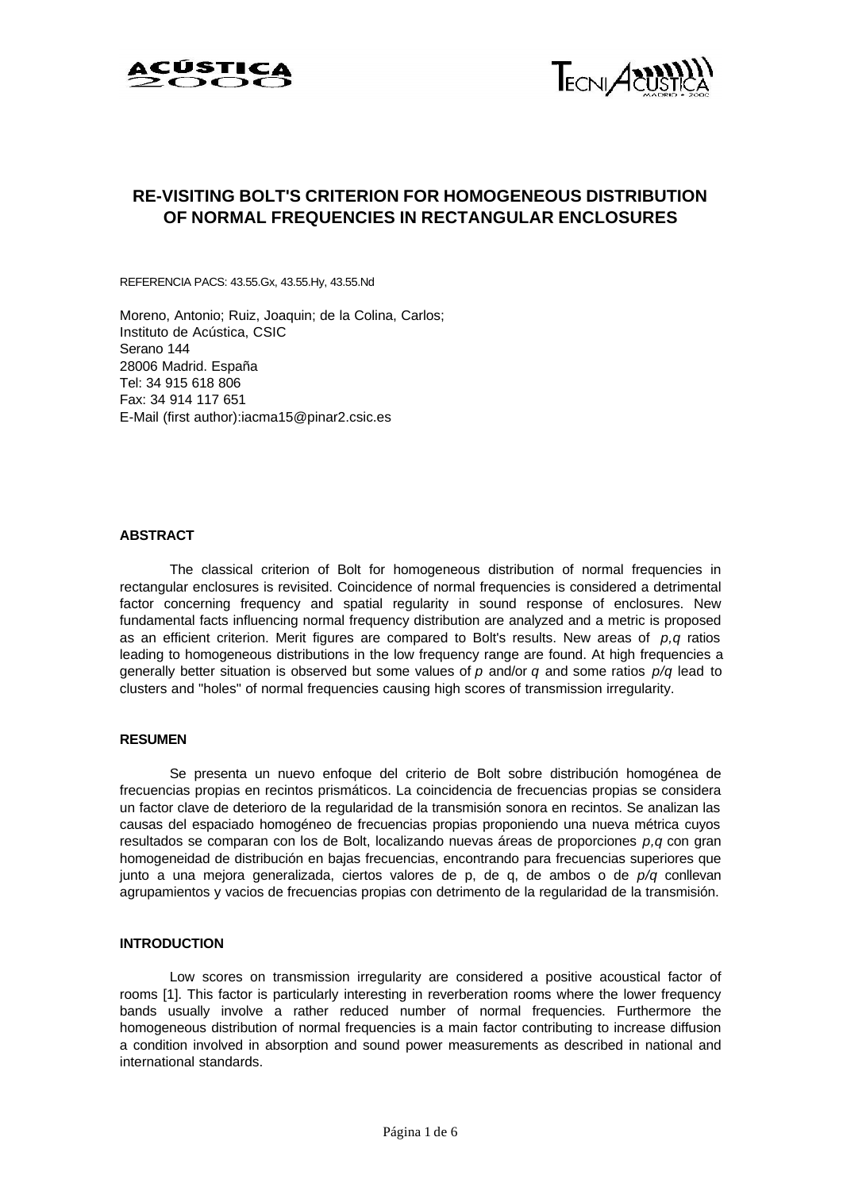



# **RE-VISITING BOLT'S CRITERION FOR HOMOGENEOUS DISTRIBUTION OF NORMAL FREQUENCIES IN RECTANGULAR ENCLOSURES**

REFERENCIA PACS: 43.55.Gx, 43.55.Hy, 43.55.Nd

Moreno, Antonio; Ruiz, Joaquin; de la Colina, Carlos; Instituto de Acústica, CSIC Serano 144 28006 Madrid. España Tel: 34 915 618 806 Fax: 34 914 117 651 E-Mail (first author):iacma15@pinar2.csic.es

## **ABSTRACT**

The classical criterion of Bolt for homogeneous distribution of normal frequencies in rectangular enclosures is revisited. Coincidence of normal frequencies is considered a detrimental factor concerning frequency and spatial regularity in sound response of enclosures. New fundamental facts influencing normal frequency distribution are analyzed and a metric is proposed as an efficient criterion. Merit figures are compared to Bolt's results. New areas of *p,q* ratios leading to homogeneous distributions in the low frequency range are found. At high frequencies a generally better situation is observed but some values of *p* and/or *q* and some ratios *p/q* lead to clusters and "holes" of normal frequencies causing high scores of transmission irregularity.

# **RESUMEN**

Se presenta un nuevo enfoque del criterio de Bolt sobre distribución homogénea de frecuencias propias en recintos prismáticos. La coincidencia de frecuencias propias se considera un factor clave de deterioro de la regularidad de la transmisión sonora en recintos. Se analizan las causas del espaciado homogéneo de frecuencias propias proponiendo una nueva métrica cuyos resultados se comparan con los de Bolt, localizando nuevas áreas de proporciones *p,q* con gran homogeneidad de distribución en bajas frecuencias, encontrando para frecuencias superiores que junto a una mejora generalizada, ciertos valores de p, de q, de ambos o de *p/q* conllevan agrupamientos y vacios de frecuencias propias con detrimento de la regularidad de la transmisión.

## **INTRODUCTION**

Low scores on transmission irregularity are considered a positive acoustical factor of rooms [1]. This factor is particularly interesting in reverberation rooms where the lower frequency bands usually involve a rather reduced number of normal frequencies. Furthermore the homogeneous distribution of normal frequencies is a main factor contributing to increase diffusion a condition involved in absorption and sound power measurements as described in national and international standards.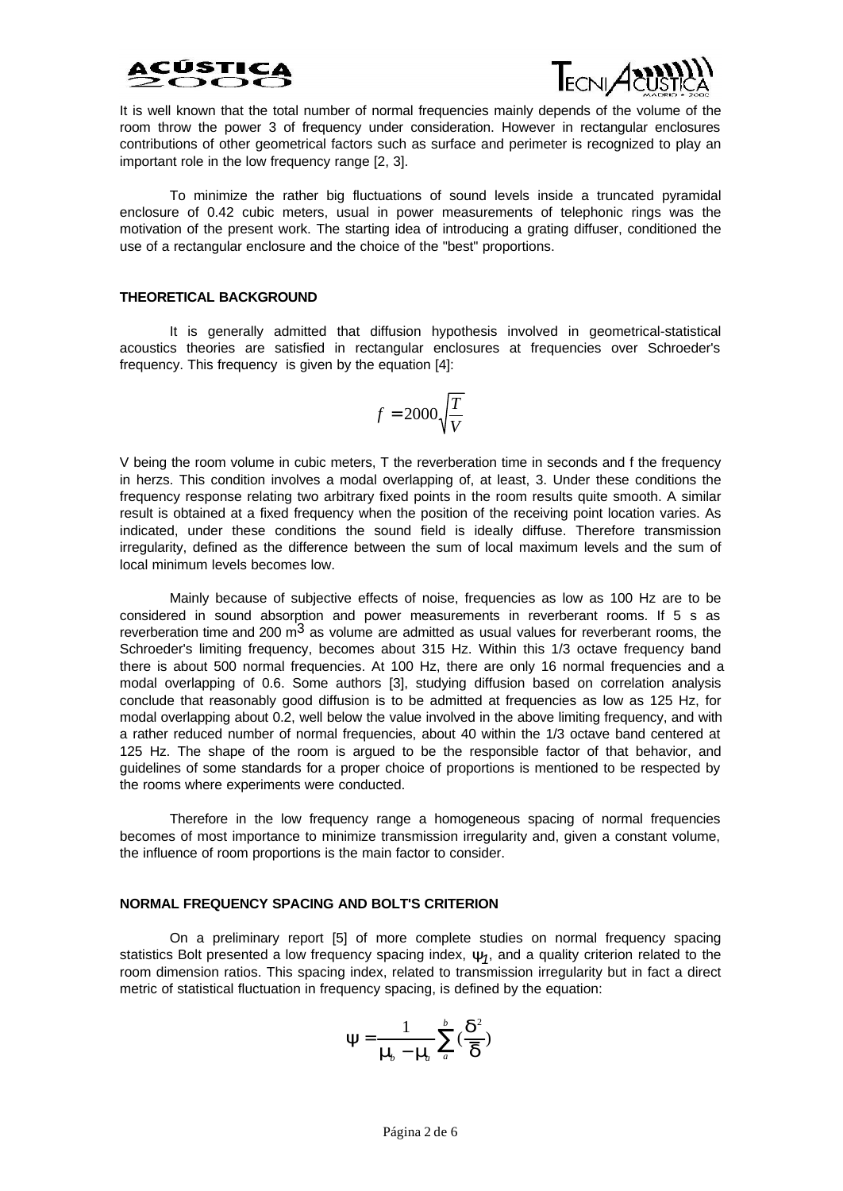



It is well known that the total number of normal frequencies mainly depends of the volume of the room throw the power 3 of frequency under consideration. However in rectangular enclosures contributions of other geometrical factors such as surface and perimeter is recognized to play an important role in the low frequency range [2, 3].

To minimize the rather big fluctuations of sound levels inside a truncated pyramidal enclosure of 0.42 cubic meters, usual in power measurements of telephonic rings was the motivation of the present work. The starting idea of introducing a grating diffuser, conditioned the use of a rectangular enclosure and the choice of the "best" proportions.

#### **THEORETICAL BACKGROUND**

It is generally admitted that diffusion hypothesis involved in geometrical-statistical acoustics theories are satisfied in rectangular enclosures at frequencies over Schroeder's frequency. This frequency is given by the equation [4]:

$$
f=2000\sqrt{\frac{T}{V}}
$$

V being the room volume in cubic meters, T the reverberation time in seconds and f the frequency in herzs. This condition involves a modal overlapping of, at least, 3. Under these conditions the frequency response relating two arbitrary fixed points in the room results quite smooth. A similar result is obtained at a fixed frequency when the position of the receiving point location varies. As indicated, under these conditions the sound field is ideally diffuse. Therefore transmission irregularity, defined as the difference between the sum of local maximum levels and the sum of local minimum levels becomes low.

Mainly because of subjective effects of noise, frequencies as low as 100 Hz are to be considered in sound absorption and power measurements in reverberant rooms. If 5 s as reverberation time and 200  $\mathrm{m}^3$  as volume are admitted as usual values for reverberant rooms, the Schroeder's limiting frequency, becomes about 315 Hz. Within this 1/3 octave frequency band there is about 500 normal frequencies. At 100 Hz, there are only 16 normal frequencies and a modal overlapping of 0.6. Some authors [3], studying diffusion based on correlation analysis conclude that reasonably good diffusion is to be admitted at frequencies as low as 125 Hz, for modal overlapping about 0.2, well below the value involved in the above limiting frequency, and with a rather reduced number of normal frequencies, about 40 within the 1/3 octave band centered at 125 Hz. The shape of the room is argued to be the responsible factor of that behavior, and guidelines of some standards for a proper choice of proportions is mentioned to be respected by the rooms where experiments were conducted.

Therefore in the low frequency range a homogeneous spacing of normal frequencies becomes of most importance to minimize transmission irregularity and, given a constant volume, the influence of room proportions is the main factor to consider.

#### **NORMAL FREQUENCY SPACING AND BOLT'S CRITERION**

On a preliminary report [5] of more complete studies on normal frequency spacing statistics Bolt presented a low frequency spacing index, *y<sup>1</sup>* , and a quality criterion related to the room dimension ratios. This spacing index, related to transmission irregularity but in fact a direct metric of statistical fluctuation in frequency spacing, is defined by the equation:

$$
\boldsymbol{y} = \frac{1}{\boldsymbol{m}_1 - \boldsymbol{m}_2} \sum_{a}^{b} (\frac{\boldsymbol{d}^2}{\overline{\boldsymbol{d}}})
$$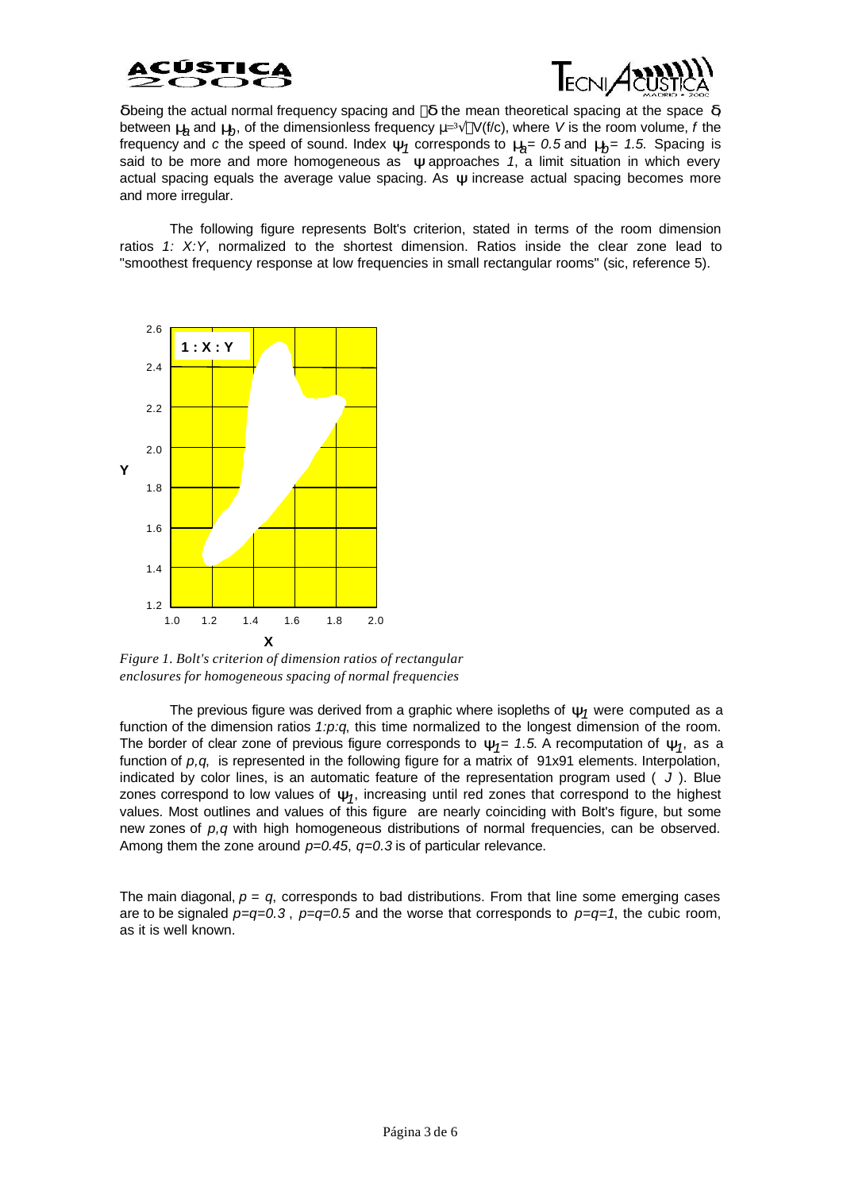



*d* being the actual normal frequency spacing and *d* the mean theoretical spacing at the space *d* between  $m$  and  $m$ <sub>*b*</sub>, of the dimensionless frequency  $\mu$ <sup>3</sup> $\sqrt{\ }V$ (f/c), where *V* is the room volume, *f* the frequency and *c* the speed of sound. Index *y<sup>1</sup>* corresponds to *m<sup>a</sup> = 0.5* and *m<sup>b</sup> = 1.5.* Spacing is said to be more and more homogeneous as *y* approaches 1, a limit situation in which every actual spacing equals the average value spacing. As *y* increase actual spacing becomes more and more irregular.

The following figure represents Bolt's criterion, stated in terms of the room dimension ratios *1: X:Y*, normalized to the shortest dimension. Ratios inside the clear zone lead to "smoothest frequency response at low frequencies in small rectangular rooms" (sic, reference 5).



*Figure 1. Bolt's criterion of dimension ratios of rectangular enclosures for homogeneous spacing of normal frequencies*

The previous figure was derived from a graphic where isopleths of  $\mathbf{y}_\textit{1}$  were computed as a function of the dimension ratios *1:p:q*, this time normalized to the longest dimension of the room. The border of clear zone of previous figure corresponds to  $y_1$ = 1.5. A recomputation of  $y_1$ , as a function of *p,q*, is represented in the following figure for a matrix of 91x91 elements. Interpolation, indicated by color lines, is an automatic feature of the representation program used ( *J* ). Blue zones correspond to low values of  $y_1$ , increasing until red zones that correspond to the highest values. Most outlines and values of this figure are nearly coinciding with Bolt's figure, but some new zones of *p,q* with high homogeneous distributions of normal frequencies, can be observed. Among them the zone around *p=0.45*, *q=0.3* is of particular relevance.

The main diagonal,  $p = q$ , corresponds to bad distributions. From that line some emerging cases are to be signaled  $p=q=0.3$ ,  $p=q=0.5$  and the worse that corresponds to  $p=q=1$ , the cubic room, as it is well known.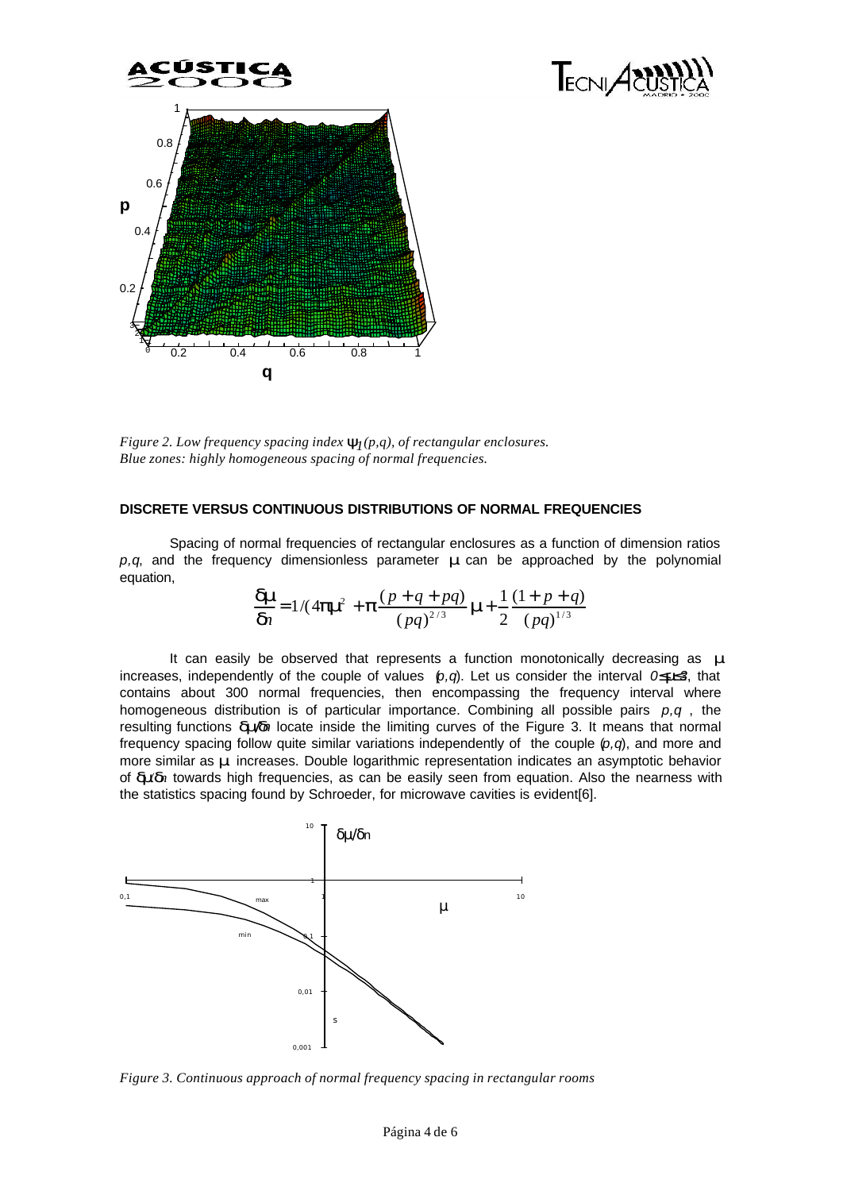

Figure 2. Low frequency spacing index  $\mathbf{y}_{\bar{I}}(p,q)$ , of rectangular enclosures. *Blue zones: highly homogeneous spacing of normal frequencies.*

# **DISCRETE VERSUS CONTINUOUS DISTRIBUTIONS OF NORMAL FREQUENCIES**

Spacing of normal frequencies of rectangular enclosures as a function of dimension ratios *p,q*, and the frequency dimensionless parameter *m* can be approached by the polynomial equation,

TECNIA<sup>8</sup>

$$
\frac{dm}{dn} = 1/(4pm^2 + p\frac{(p+q+pq)}{(pq)^{2/3}}m + \frac{1}{2}\frac{(1+p+q)}{(pq)^{1/3}}
$$

It can easily be observed that represents a function monotonically decreasing as *m* increases, independently of the couple of values (*p,q*). Let us consider the interval *0£m£3*, that contains about 300 normal frequencies, then encompassing the frequency interval where homogeneous distribution is of particular importance. Combining all possible pairs *p,q* , the resulting functions *dm/dn* locate inside the limiting curves of the Figure 3. It means that normal frequency spacing follow quite similar variations independently of the couple (*p,q*), and more and more similar as *m* increases. Double logarithmic representation indicates an asymptotic behavior of *dm/dn* towards high frequencies, as can be easily seen from equation. Also the nearness with the statistics spacing found by Schroeder, for microwave cavities is evident[6].



*Figure 3. Continuous approach of normal frequency spacing in rectangular rooms*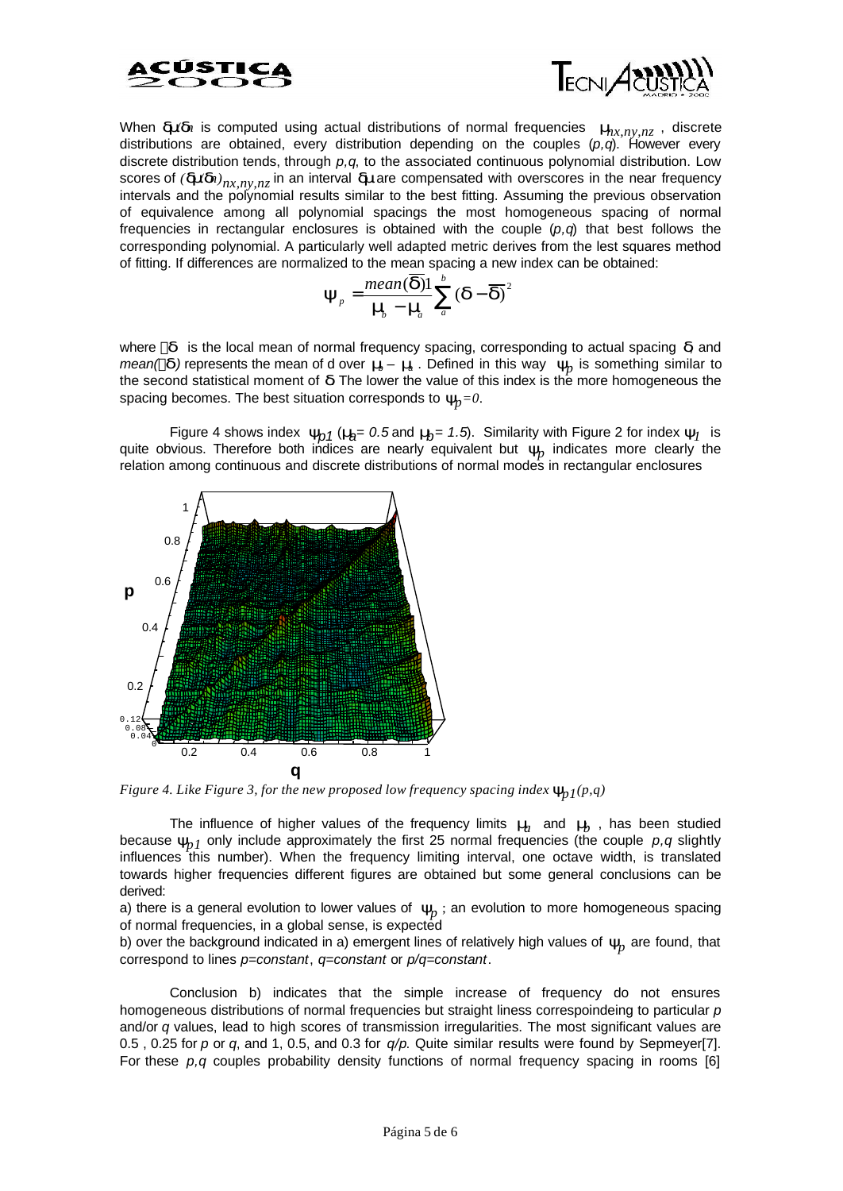



When **dnd**<sup>*n*</sup> is computed using actual distributions of normal frequencies  $m_{x,ny,nz}$ , discrete distributions are obtained, every distribution depending on the couples (*p,q*). However every discrete distribution tends, through *p,q*, to the associated continuous polynomial distribution. Low scores of  $(dm/d)_{nx,ny,nz}$  in an interval *dm* are compensated with overscores in the near frequency intervals and the polynomial results similar to the best fitting. Assuming the previous observation of equivalence among all polynomial spacings the most homogeneous spacing of normal frequencies in rectangular enclosures is obtained with the couple (*p,q*) that best follows the corresponding polynomial. A particularly well adapted metric derives from the lest squares method of fitting. If differences are normalized to the mean spacing a new index can be obtained:

$$
\boldsymbol{y}_p = \frac{mean(\overline{\boldsymbol{d}})1}{\boldsymbol{m}_p - \boldsymbol{m}_a} \sum_{a}^{b} (\boldsymbol{d} - \overline{\boldsymbol{d}})^2
$$

where *d* is the local mean of normal frequency spacing, corresponding to actual spacing *d*, and *mean(*  $\overline{d}$ ) represents the mean of d over  $\overline{m}$  –  $\overline{m}$  . Defined in this way  $\overline{y}_p$  is something similar to the second statistical moment of *d*. The lower the value of this index is the more homogeneous the spacing becomes. The best situation corresponds to *yp=0*.

Figure 4 shows index  $y_{p1}$  ( $n_{\!\!\!j}$  = 0.5 and  $n_{\!\!\!j}$  = 1.5). Similarity with Figure 2 for index  $y_l$  is quite obvious. Therefore both indices are nearly equivalent but  $\mathbf{y}_p$  indicates more clearly the relation among continuous and discrete distributions of normal modes in rectangular enclosures



*Figure 4. Like Figure 3, for the new proposed low frequency spacing index*  $\mathbf{y}_{p1}(p,q)$ 

The influence of higher values of the frequency limits *m<sup>a</sup>* and *m<sup>b</sup>* , has been studied because  $y_{n,l}$  only include approximately the first 25 normal frequencies (the couple  $p,q$  slightly influences this number). When the frequency limiting interval, one octave width, is translated towards higher frequencies different figures are obtained but some general conclusions can be derived:

a) there is a general evolution to lower values of  $y_p$  ; an evolution to more homogeneous spacing of normal frequencies, in a global sense, is expected

b) over the background indicated in a) emergent lines of relatively high values of  $\mathcal{Y}_p$  are found, that correspond to lines *p=constant*, *q=constant* or *p/q=constant*.

Conclusion b) indicates that the simple increase of frequency do not ensures homogeneous distributions of normal frequencies but straight liness correspoindeing to particular *p* and/or *q* values, lead to high scores of transmission irregularities. The most significant values are 0.5 , 0.25 for *p* or *q*, and 1, 0.5, and 0.3 for *q/p*. Quite similar results were found by Sepmeyer[7]. For these *p,q* couples probability density functions of normal frequency spacing in rooms [6]